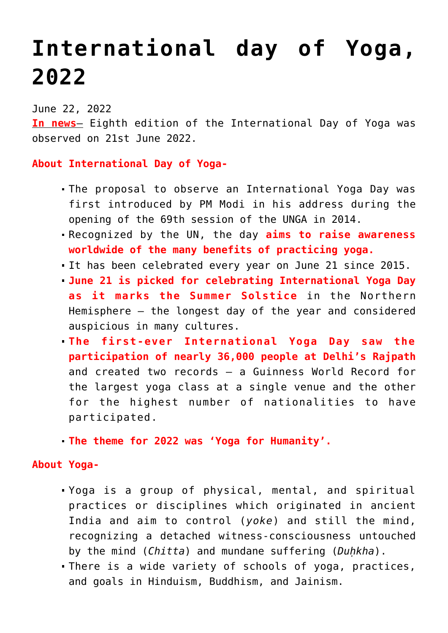## **[International day of Yoga,](https://journalsofindia.com/international-day-of-yoga-2022/) [2022](https://journalsofindia.com/international-day-of-yoga-2022/)**

June 22, 2022

**In news**– Eighth edition of the International Day of Yoga was observed on 21st June 2022.

## **About International Day of Yoga-**

- The proposal to observe an International Yoga Day was first introduced by PM Modi in his address during the opening of the 69th session of the UNGA in 2014.
- Recognized by the UN, the day **aims to raise awareness worldwide of the many benefits of practicing yoga.**
- It has been celebrated every year on June 21 since 2015.
- **June 21 is picked for celebrating International Yoga Day as it marks the Summer Solstice** in the Northern Hemisphere – the longest day of the year and considered auspicious in many cultures.
- **The first-ever International Yoga Day saw the participation of nearly 36,000 people at Delhi's Rajpath** and created two records — a Guinness World Record for the largest yoga class at a single venue and the other for the highest number of nationalities to have participated.
- **The theme for 2022 was 'Yoga for Humanity'.**

## **About Yoga-**

- Yoga is a group of physical, mental, and spiritual practices or disciplines which originated in ancient India and aim to control (*yoke*) and still the mind, recognizing a detached witness-consciousness untouched by the mind (*Chitta*) and mundane suffering (*Duḥkha*).
- There is a wide variety of schools of yoga, practices, and goals in Hinduism, Buddhism, and Jainism.